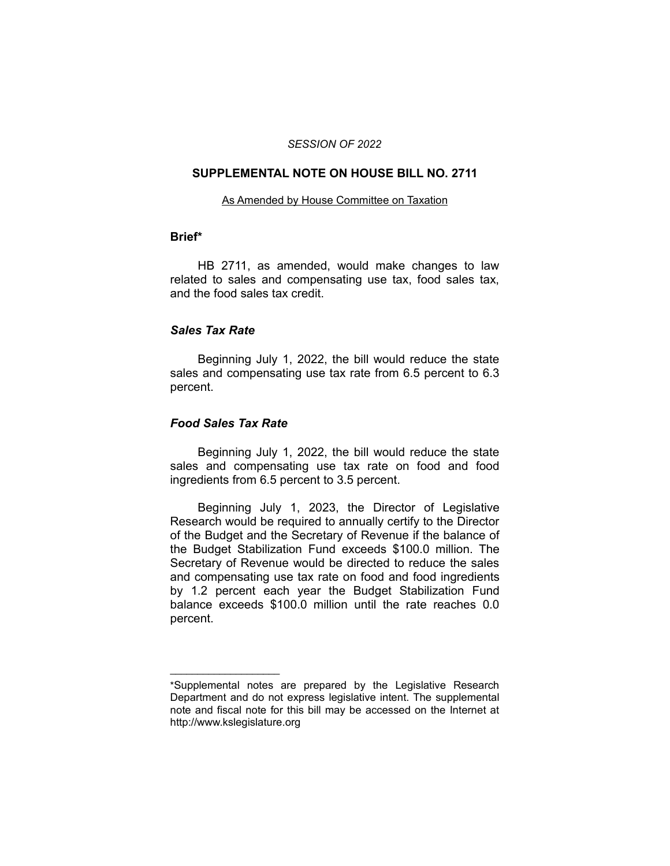#### *SESSION OF 2022*

### **SUPPLEMENTAL NOTE ON HOUSE BILL NO. 2711**

#### As Amended by House Committee on Taxation

# **Brief\***

HB 2711, as amended, would make changes to law related to sales and compensating use tax, food sales tax, and the food sales tax credit.

# *Sales Tax Rate*

Beginning July 1, 2022, the bill would reduce the state sales and compensating use tax rate from 6.5 percent to 6.3 percent.

# *Food Sales Tax Rate*

 $\overline{\phantom{a}}$  , where  $\overline{\phantom{a}}$  , where  $\overline{\phantom{a}}$ 

Beginning July 1, 2022, the bill would reduce the state sales and compensating use tax rate on food and food ingredients from 6.5 percent to 3.5 percent.

Beginning July 1, 2023, the Director of Legislative Research would be required to annually certify to the Director of the Budget and the Secretary of Revenue if the balance of the Budget Stabilization Fund exceeds \$100.0 million. The Secretary of Revenue would be directed to reduce the sales and compensating use tax rate on food and food ingredients by 1.2 percent each year the Budget Stabilization Fund balance exceeds \$100.0 million until the rate reaches 0.0 percent.

<sup>\*</sup>Supplemental notes are prepared by the Legislative Research Department and do not express legislative intent. The supplemental note and fiscal note for this bill may be accessed on the Internet at http://www.kslegislature.org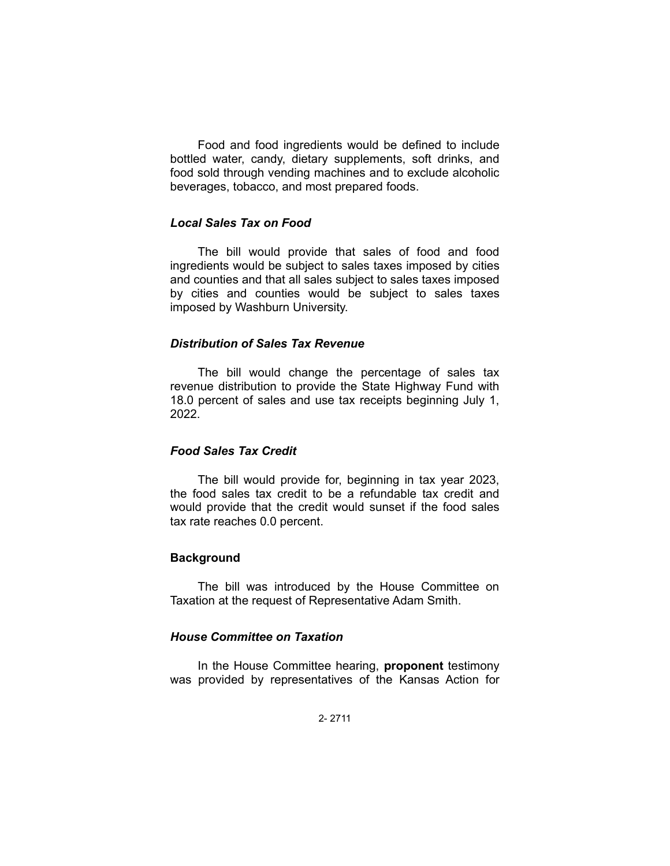Food and food ingredients would be defined to include bottled water, candy, dietary supplements, soft drinks, and food sold through vending machines and to exclude alcoholic beverages, tobacco, and most prepared foods.

## *Local Sales Tax on Food*

The bill would provide that sales of food and food ingredients would be subject to sales taxes imposed by cities and counties and that all sales subject to sales taxes imposed by cities and counties would be subject to sales taxes imposed by Washburn University.

#### *Distribution of Sales Tax Revenue*

The bill would change the percentage of sales tax revenue distribution to provide the State Highway Fund with 18.0 percent of sales and use tax receipts beginning July 1, 2022.

### *Food Sales Tax Credit*

The bill would provide for, beginning in tax year 2023, the food sales tax credit to be a refundable tax credit and would provide that the credit would sunset if the food sales tax rate reaches 0.0 percent.

#### **Background**

The bill was introduced by the House Committee on Taxation at the request of Representative Adam Smith.

## *House Committee on Taxation*

In the House Committee hearing, **proponent** testimony was provided by representatives of the Kansas Action for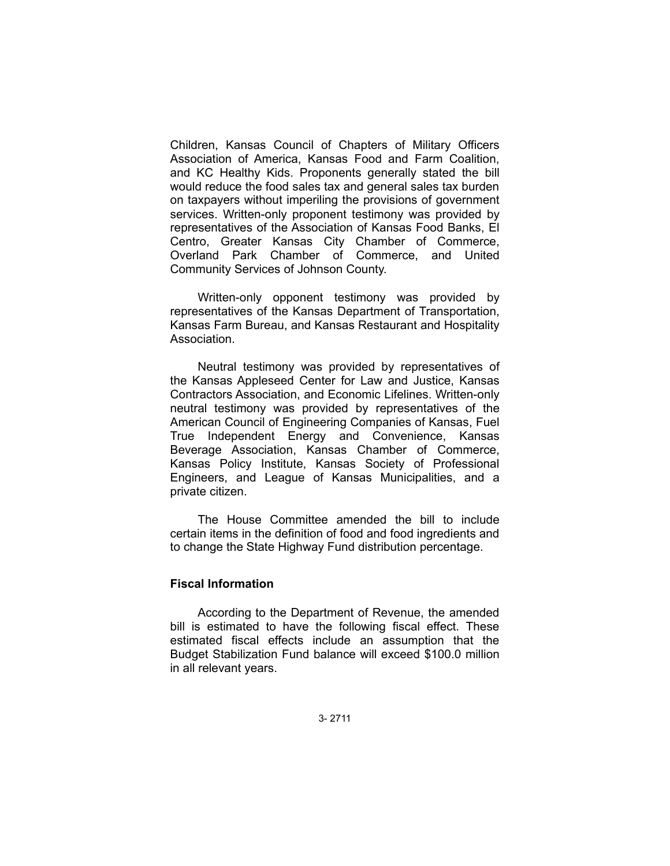Children, Kansas Council of Chapters of Military Officers Association of America, Kansas Food and Farm Coalition, and KC Healthy Kids. Proponents generally stated the bill would reduce the food sales tax and general sales tax burden on taxpayers without imperiling the provisions of government services. Written-only proponent testimony was provided by representatives of the Association of Kansas Food Banks, El Centro, Greater Kansas City Chamber of Commerce, Overland Park Chamber of Commerce, and United Community Services of Johnson County.

Written-only opponent testimony was provided by representatives of the Kansas Department of Transportation, Kansas Farm Bureau, and Kansas Restaurant and Hospitality Association.

Neutral testimony was provided by representatives of the Kansas Appleseed Center for Law and Justice, Kansas Contractors Association, and Economic Lifelines. Written-only neutral testimony was provided by representatives of the American Council of Engineering Companies of Kansas, Fuel True Independent Energy and Convenience, Kansas Beverage Association, Kansas Chamber of Commerce, Kansas Policy Institute, Kansas Society of Professional Engineers, and League of Kansas Municipalities, and a private citizen.

The House Committee amended the bill to include certain items in the definition of food and food ingredients and to change the State Highway Fund distribution percentage.

## **Fiscal Information**

According to the Department of Revenue, the amended bill is estimated to have the following fiscal effect. These estimated fiscal effects include an assumption that the Budget Stabilization Fund balance will exceed \$100.0 million in all relevant years.